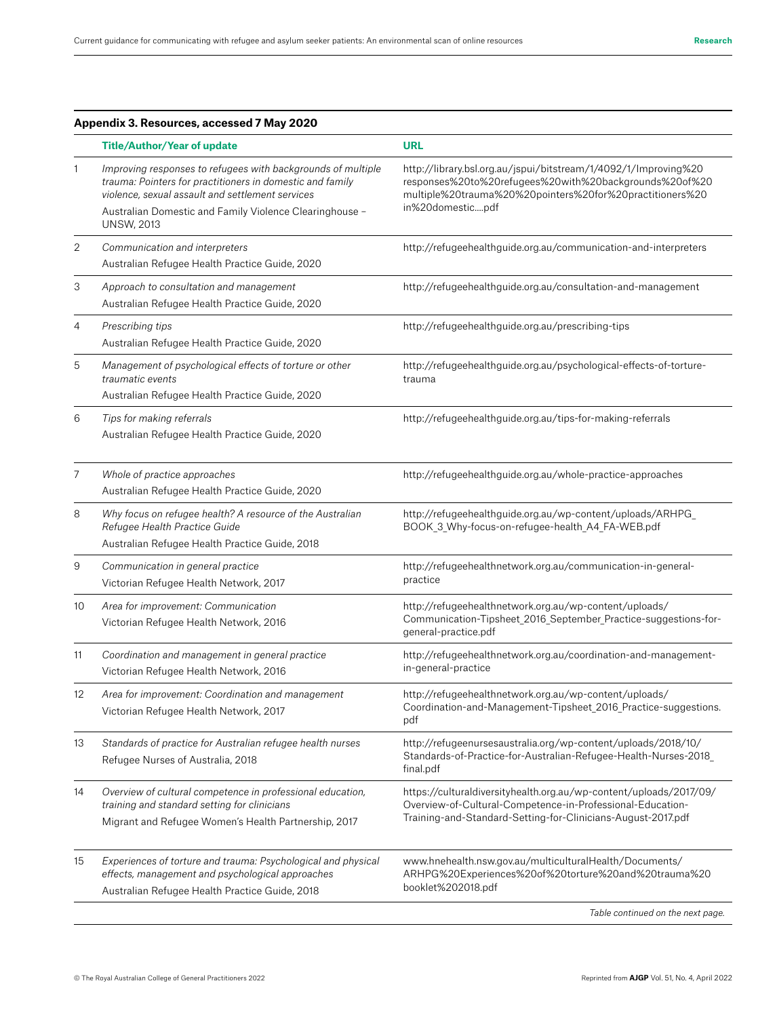| Appendix 3. Resources, accessed 7 May 2020 |                                                                                                                                                                                                                                                               |                                                                                                                                                                                                           |  |
|--------------------------------------------|---------------------------------------------------------------------------------------------------------------------------------------------------------------------------------------------------------------------------------------------------------------|-----------------------------------------------------------------------------------------------------------------------------------------------------------------------------------------------------------|--|
|                                            | <b>Title/Author/Year of update</b>                                                                                                                                                                                                                            | <b>URL</b>                                                                                                                                                                                                |  |
| $\mathbf{1}$                               | Improving responses to refugees with backgrounds of multiple<br>trauma: Pointers for practitioners in domestic and family<br>violence, sexual assault and settlement services<br>Australian Domestic and Family Violence Clearinghouse -<br><b>UNSW, 2013</b> | http://library.bsl.org.au/jspui/bitstream/1/4092/1/Improving%20<br>responses%20to%20refugees%20with%20backgrounds%20of%20<br>multiple%20trauma%20%20pointers%20for%20practitioners%20<br>in%20domesticpdf |  |
| $\overline{2}$                             | Communication and interpreters<br>Australian Refugee Health Practice Guide, 2020                                                                                                                                                                              | http://refugeehealthguide.org.au/communication-and-interpreters                                                                                                                                           |  |
| 3                                          | Approach to consultation and management<br>Australian Refugee Health Practice Guide, 2020                                                                                                                                                                     | http://refugeehealthguide.org.au/consultation-and-management                                                                                                                                              |  |
| $\overline{4}$                             | Prescribing tips<br>Australian Refugee Health Practice Guide, 2020                                                                                                                                                                                            | http://refugeehealthguide.org.au/prescribing-tips                                                                                                                                                         |  |
| 5                                          | Management of psychological effects of torture or other<br>traumatic events<br>Australian Refugee Health Practice Guide, 2020                                                                                                                                 | http://refugeehealthguide.org.au/psychological-effects-of-torture-<br>trauma                                                                                                                              |  |
| 6                                          | Tips for making referrals<br>Australian Refugee Health Practice Guide, 2020                                                                                                                                                                                   | http://refugeehealthguide.org.au/tips-for-making-referrals                                                                                                                                                |  |
| 7                                          | Whole of practice approaches<br>Australian Refugee Health Practice Guide, 2020                                                                                                                                                                                | http://refugeehealthguide.org.au/whole-practice-approaches                                                                                                                                                |  |
| 8                                          | Why focus on refugee health? A resource of the Australian<br>Refugee Health Practice Guide<br>Australian Refugee Health Practice Guide, 2018                                                                                                                  | http://refugeehealthguide.org.au/wp-content/uploads/ARHPG_<br>BOOK_3_Why-focus-on-refugee-health_A4_FA-WEB.pdf                                                                                            |  |
| $\boldsymbol{9}$                           | Communication in general practice<br>Victorian Refugee Health Network, 2017                                                                                                                                                                                   | http://refugeehealthnetwork.org.au/communication-in-general-<br>practice                                                                                                                                  |  |
| 10                                         | Area for improvement: Communication<br>Victorian Refugee Health Network, 2016                                                                                                                                                                                 | http://refugeehealthnetwork.org.au/wp-content/uploads/<br>Communication-Tipsheet_2016_September_Practice-suggestions-for-<br>general-practice.pdf                                                         |  |
| 11                                         | Coordination and management in general practice<br>Victorian Refugee Health Network, 2016                                                                                                                                                                     | http://refugeehealthnetwork.org.au/coordination-and-management-<br>in-general-practice                                                                                                                    |  |
| 12                                         | Area for improvement: Coordination and management<br>Victorian Refugee Health Network, 2017                                                                                                                                                                   | http://refugeehealthnetwork.org.au/wp-content/uploads/<br>Coordination-and-Management-Tipsheet_2016_Practice-suggestions.<br>pdf                                                                          |  |
| 13                                         | Standards of practice for Australian refugee health nurses<br>Refugee Nurses of Australia, 2018                                                                                                                                                               | http://refugeenursesaustralia.org/wp-content/uploads/2018/10/<br>Standards-of-Practice-for-Australian-Refugee-Health-Nurses-2018_<br>final.pdf                                                            |  |
| 14                                         | Overview of cultural competence in professional education,<br>training and standard setting for clinicians<br>Migrant and Refugee Women's Health Partnership, 2017                                                                                            | https://culturaldiversityhealth.org.au/wp-content/uploads/2017/09/<br>Overview-of-Cultural-Competence-in-Professional-Education-<br>Training-and-Standard-Setting-for-Clinicians-August-2017.pdf          |  |
| 15                                         | Experiences of torture and trauma: Psychological and physical<br>effects, management and psychological approaches<br>Australian Refugee Health Practice Guide, 2018                                                                                           | www.hnehealth.nsw.gov.au/multiculturalHealth/Documents/<br>ARHPG%20Experiences%20of%20torture%20and%20trauma%20<br>booklet%202018.pdf                                                                     |  |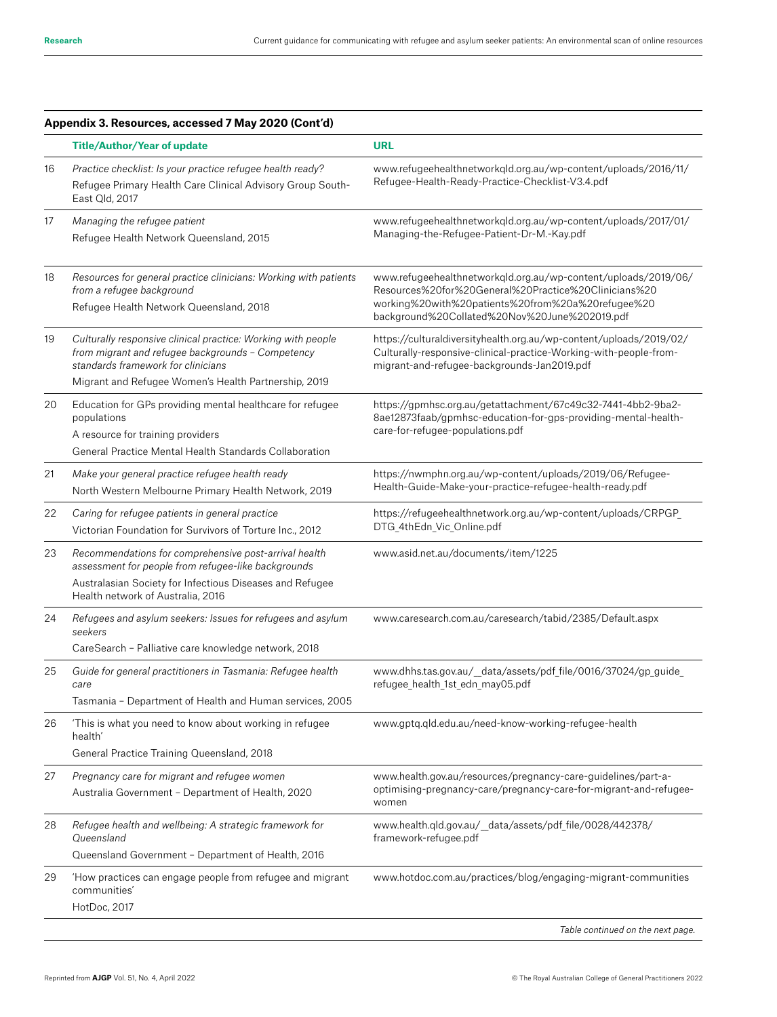|    | Appendix 3. Resources, accessed 7 May 2020 (Cont'd)                                                                                                                                                                             |                                                                                                                                                                                                                              |
|----|---------------------------------------------------------------------------------------------------------------------------------------------------------------------------------------------------------------------------------|------------------------------------------------------------------------------------------------------------------------------------------------------------------------------------------------------------------------------|
|    | <b>Title/Author/Year of update</b>                                                                                                                                                                                              | <b>URL</b>                                                                                                                                                                                                                   |
| 16 | Practice checklist: Is your practice refugee health ready?<br>Refugee Primary Health Care Clinical Advisory Group South-<br>East Old, 2017                                                                                      | www.refugeehealthnetworkqld.org.au/wp-content/uploads/2016/11/<br>Refugee-Health-Ready-Practice-Checklist-V3.4.pdf                                                                                                           |
| 17 | Managing the refugee patient<br>Refugee Health Network Queensland, 2015                                                                                                                                                         | www.refugeehealthnetworkqld.org.au/wp-content/uploads/2017/01/<br>Managing-the-Refugee-Patient-Dr-M.-Kay.pdf                                                                                                                 |
| 18 | Resources for general practice clinicians: Working with patients<br>from a refugee background<br>Refugee Health Network Queensland, 2018                                                                                        | www.refugeehealthnetworkqld.org.au/wp-content/uploads/2019/06/<br>Resources%20for%20General%20Practice%20Clinicians%20<br>working%20with%20patients%20from%20a%20refugee%20<br>background%20Collated%20Nov%20June%202019.pdf |
| 19 | Culturally responsive clinical practice: Working with people<br>from migrant and refugee backgrounds - Competency<br>standards framework for clinicians                                                                         | https://culturaldiversityhealth.org.au/wp-content/uploads/2019/02/<br>Culturally-responsive-clinical-practice-Working-with-people-from-<br>migrant-and-refugee-backgrounds-Jan2019.pdf                                       |
| 20 | Migrant and Refugee Women's Health Partnership, 2019<br>Education for GPs providing mental healthcare for refugee<br>populations<br>A resource for training providers<br>General Practice Mental Health Standards Collaboration | https://gpmhsc.org.au/getattachment/67c49c32-7441-4bb2-9ba2-<br>8ae12873faab/gpmhsc-education-for-gps-providing-mental-health-<br>care-for-refugee-populations.pdf                                                           |
| 21 | Make your general practice refugee health ready<br>North Western Melbourne Primary Health Network, 2019                                                                                                                         | https://nwmphn.org.au/wp-content/uploads/2019/06/Refugee-<br>Health-Guide-Make-your-practice-refugee-health-ready.pdf                                                                                                        |
| 22 | Caring for refugee patients in general practice<br>Victorian Foundation for Survivors of Torture Inc., 2012                                                                                                                     | https://refugeehealthnetwork.org.au/wp-content/uploads/CRPGP_<br>DTG_4thEdn_Vic_Online.pdf                                                                                                                                   |
| 23 | Recommendations for comprehensive post-arrival health<br>assessment for people from refugee-like backgrounds<br>Australasian Society for Infectious Diseases and Refugee<br>Health network of Australia, 2016                   | www.asid.net.au/documents/item/1225                                                                                                                                                                                          |
| 24 | Refugees and asylum seekers: Issues for refugees and asylum<br>seekers<br>CareSearch - Palliative care knowledge network, 2018                                                                                                  | www.caresearch.com.au/caresearch/tabid/2385/Default.aspx                                                                                                                                                                     |
| 25 | Guide for general practitioners in Tasmania: Refugee health<br>care<br>Tasmania - Department of Health and Human services, 2005                                                                                                 | www.dhhs.tas.gov.au/_data/assets/pdf_file/0016/37024/gp_guide_<br>refugee_health_1st_edn_may05.pdf                                                                                                                           |
| 26 | 'This is what you need to know about working in refugee<br>health'<br>General Practice Training Queensland, 2018                                                                                                                | www.gptq.qld.edu.au/need-know-working-refugee-health                                                                                                                                                                         |
| 27 | Pregnancy care for migrant and refugee women<br>Australia Government - Department of Health, 2020                                                                                                                               | www.health.gov.au/resources/pregnancy-care-guidelines/part-a-<br>optimising-pregnancy-care/pregnancy-care-for-migrant-and-refugee-<br>women                                                                                  |
| 28 | Refugee health and wellbeing: A strategic framework for<br>Queensland<br>Queensland Government - Department of Health, 2016                                                                                                     | www.health.qld.gov.au/_data/assets/pdf_file/0028/442378/<br>framework-refugee.pdf                                                                                                                                            |
| 29 | 'How practices can engage people from refugee and migrant<br>communities'<br>HotDoc, 2017                                                                                                                                       | www.hotdoc.com.au/practices/blog/engaging-migrant-communities                                                                                                                                                                |
|    |                                                                                                                                                                                                                                 | Table continued on the next page.                                                                                                                                                                                            |